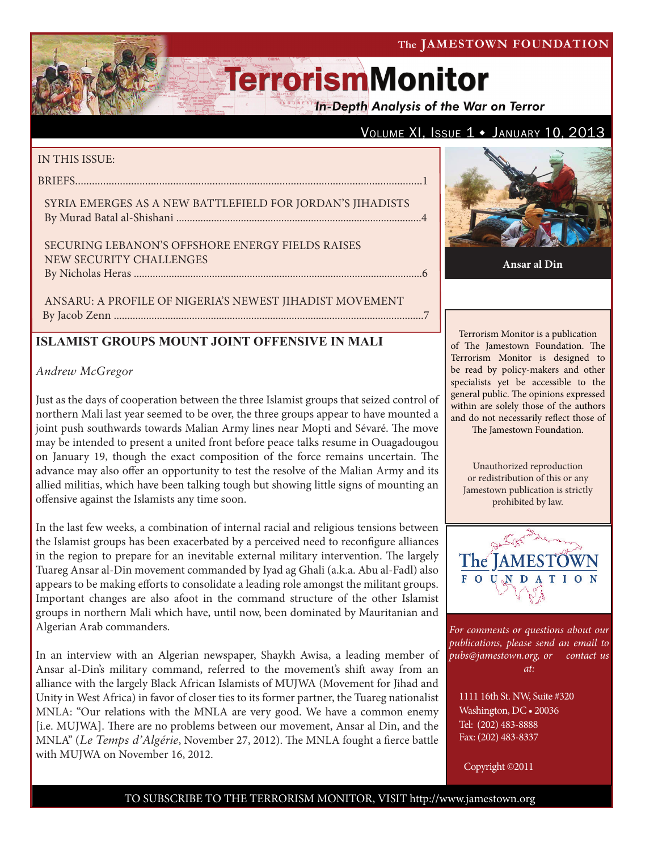### The JAMESTOWN FOUNDATION

# **TerrorismMonitor**

**In-Depth Analysis of the War on Terror** 

### VOLUME XI, ISSUE  $1 \cdot$  JANUARY 10, 2013

#### IN THIS ISSUE:

briefs............................................................................................................................1

Syria emerges as A New Battlefield for Jordan's Jihadists By Murad Batal al-Shishani ...........................................................................................4

Securing Lebanon's Offshore Energy Fields Raises New Security Challenges by Nicholas Heras ...........................................................................................................6

Ansaru: A Profile of Nigeria's Newest Jihadist Movement By Jacob Zenn ...................................................................................................................7

### **ISLAMIST GROUPS MOUNT JOINT OFFENSIVE IN MALI**

### *Andrew McGregor*

Just as the days of cooperation between the three Islamist groups that seized control of northern Mali last year seemed to be over, the three groups appear to have mounted a joint push southwards towards Malian Army lines near Mopti and Sévaré. The move may be intended to present a united front before peace talks resume in Ouagadougou on January 19, though the exact composition of the force remains uncertain. The advance may also offer an opportunity to test the resolve of the Malian Army and its allied militias, which have been talking tough but showing little signs of mounting an offensive against the Islamists any time soon.

In the last few weeks, a combination of internal racial and religious tensions between the Islamist groups has been exacerbated by a perceived need to reconfigure alliances in the region to prepare for an inevitable external military intervention. The largely Tuareg Ansar al-Din movement commanded by Iyad ag Ghali (a.k.a. Abu al-Fadl) also appears to be making efforts to consolidate a leading role amongst the militant groups. Important changes are also afoot in the command structure of the other Islamist groups in northern Mali which have, until now, been dominated by Mauritanian and Algerian Arab commanders.

In an interview with an Algerian newspaper, Shaykh Awisa, a leading member of Ansar al-Din's military command, referred to the movement's shift away from an alliance with the largely Black African Islamists of MUJWA (Movement for Jihad and Unity in West Africa) in favor of closer ties to its former partner, the Tuareg nationalist MNLA: "Our relations with the MNLA are very good. We have a common enemy [i.e. MUJWA]. There are no problems between our movement, Ansar al Din, and the MNLA" (*Le Temps d'Algérie*, November 27, 2012). The MNLA fought a fierce battle with MUJWA on November 16, 2012.



**Ansar al Din**

Terrorism Monitor is a publication of The Jamestown Foundation. The Terrorism Monitor is designed to be read by policy-makers and other specialists yet be accessible to the general public. The opinions expressed within are solely those of the authors and do not necessarily reflect those of

The Jamestown Foundation.

Unauthorized reproduction or redistribution of this or any Jamestown publication is strictly prohibited by law.



*For comments or questions about our publications, please send an email to pubs@jamestown.org, or contact us at:* 

1111 16th St. NW, Suite #320 Washington, DC • 20036 Tel: (202) 483-8888 Fax: (202) 483-8337

Copyright ©2011

### TO SUBSCRIBE TO THE TERRORISM MONITOR, VISIT http://www.jamestown.org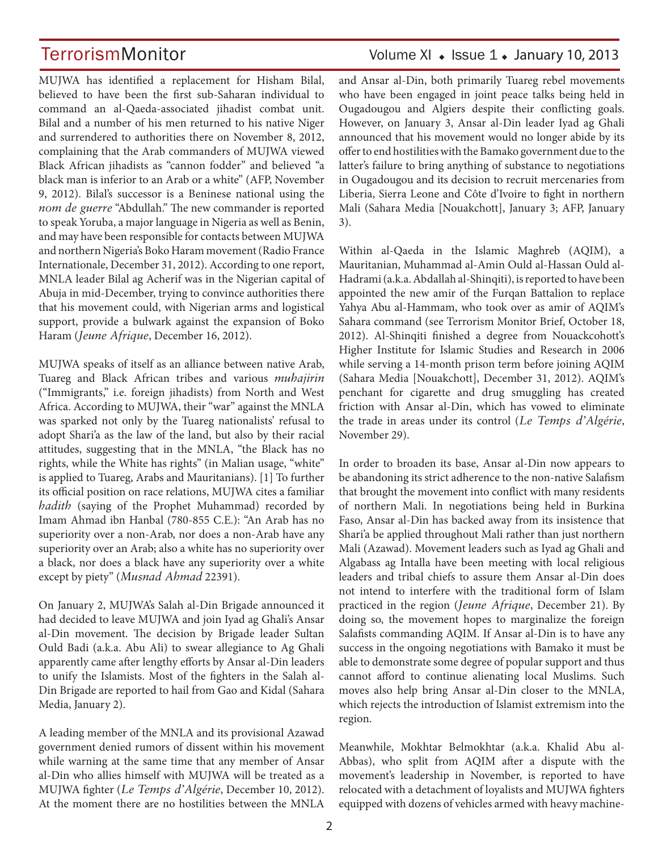MUJWA has identified a replacement for Hisham Bilal, believed to have been the first sub-Saharan individual to command an al-Qaeda-associated jihadist combat unit. Bilal and a number of his men returned to his native Niger and surrendered to authorities there on November 8, 2012, complaining that the Arab commanders of MUJWA viewed Black African jihadists as "cannon fodder" and believed "a black man is inferior to an Arab or a white" (AFP, November 9, 2012). Bilal's successor is a Beninese national using the *nom de guerre* "Abdullah." The new commander is reported to speak Yoruba, a major language in Nigeria as well as Benin, and may have been responsible for contacts between MUJWA and northern Nigeria's Boko Haram movement (Radio France Internationale, December 31, 2012). According to one report, MNLA leader Bilal ag Acherif was in the Nigerian capital of Abuja in mid-December, trying to convince authorities there that his movement could, with Nigerian arms and logistical support, provide a bulwark against the expansion of Boko Haram (*Jeune Afrique*, December 16, 2012).

MUJWA speaks of itself as an alliance between native Arab, Tuareg and Black African tribes and various *muhajirin* ("Immigrants," i.e. foreign jihadists) from North and West Africa. According to MUJWA, their "war" against the MNLA was sparked not only by the Tuareg nationalists' refusal to adopt Shari'a as the law of the land, but also by their racial attitudes, suggesting that in the MNLA, "the Black has no rights, while the White has rights" (in Malian usage, "white" is applied to Tuareg, Arabs and Mauritanians). [1] To further its official position on race relations, MUJWA cites a familiar *hadith* (saying of the Prophet Muhammad) recorded by Imam Ahmad ibn Hanbal (780-855 C.E.): "An Arab has no superiority over a non-Arab, nor does a non-Arab have any superiority over an Arab; also a white has no superiority over a black, nor does a black have any superiority over a white except by piety" (*Musnad Ahmad* 22391).

On January 2, MUJWA's Salah al-Din Brigade announced it had decided to leave MUJWA and join Iyad ag Ghali's Ansar al-Din movement. The decision by Brigade leader Sultan Ould Badi (a.k.a. Abu Ali) to swear allegiance to Ag Ghali apparently came after lengthy efforts by Ansar al-Din leaders to unify the Islamists. Most of the fighters in the Salah al-Din Brigade are reported to hail from Gao and Kidal (Sahara Media, January 2).

A leading member of the MNLA and its provisional Azawad government denied rumors of dissent within his movement while warning at the same time that any member of Ansar al-Din who allies himself with MUJWA will be treated as a MUJWA fighter (*Le Temps d'Algérie*, December 10, 2012). At the moment there are no hostilities between the MNLA

### TerrorismMonitor Volume XI • Issue 1 • January 10, 2013

and Ansar al-Din, both primarily Tuareg rebel movements who have been engaged in joint peace talks being held in Ougadougou and Algiers despite their conflicting goals. However, on January 3, Ansar al-Din leader Iyad ag Ghali announced that his movement would no longer abide by its offer to end hostilities with the Bamako government due to the latter's failure to bring anything of substance to negotiations in Ougadougou and its decision to recruit mercenaries from Liberia, Sierra Leone and Côte d'Ivoire to fight in northern Mali (Sahara Media [Nouakchott], January 3; AFP, January 3).

Within al-Qaeda in the Islamic Maghreb (AQIM), a Mauritanian, Muhammad al-Amin Ould al-Hassan Ould al-Hadrami (a.k.a. Abdallah al-Shinqiti), is reported to have been appointed the new amir of the Furqan Battalion to replace Yahya Abu al-Hammam, who took over as amir of AQIM's Sahara command (see Terrorism Monitor Brief, October 18, 2012). Al-Shinqiti finished a degree from Nouackcohott's Higher Institute for Islamic Studies and Research in 2006 while serving a 14-month prison term before joining AQIM (Sahara Media [Nouakchott], December 31, 2012). AQIM's penchant for cigarette and drug smuggling has created friction with Ansar al-Din, which has vowed to eliminate the trade in areas under its control (*Le Temps d'Algérie*, November 29).

In order to broaden its base, Ansar al-Din now appears to be abandoning its strict adherence to the non-native Salafism that brought the movement into conflict with many residents of northern Mali. In negotiations being held in Burkina Faso, Ansar al-Din has backed away from its insistence that Shari'a be applied throughout Mali rather than just northern Mali (Azawad). Movement leaders such as Iyad ag Ghali and Algabass ag Intalla have been meeting with local religious leaders and tribal chiefs to assure them Ansar al-Din does not intend to interfere with the traditional form of Islam practiced in the region (*Jeune Afrique*, December 21). By doing so, the movement hopes to marginalize the foreign Salafists commanding AQIM. If Ansar al-Din is to have any success in the ongoing negotiations with Bamako it must be able to demonstrate some degree of popular support and thus cannot afford to continue alienating local Muslims. Such moves also help bring Ansar al-Din closer to the MNLA, which rejects the introduction of Islamist extremism into the region.

Meanwhile, Mokhtar Belmokhtar (a.k.a. Khalid Abu al-Abbas), who split from AQIM after a dispute with the movement's leadership in November, is reported to have relocated with a detachment of loyalists and MUJWA fighters equipped with dozens of vehicles armed with heavy machine-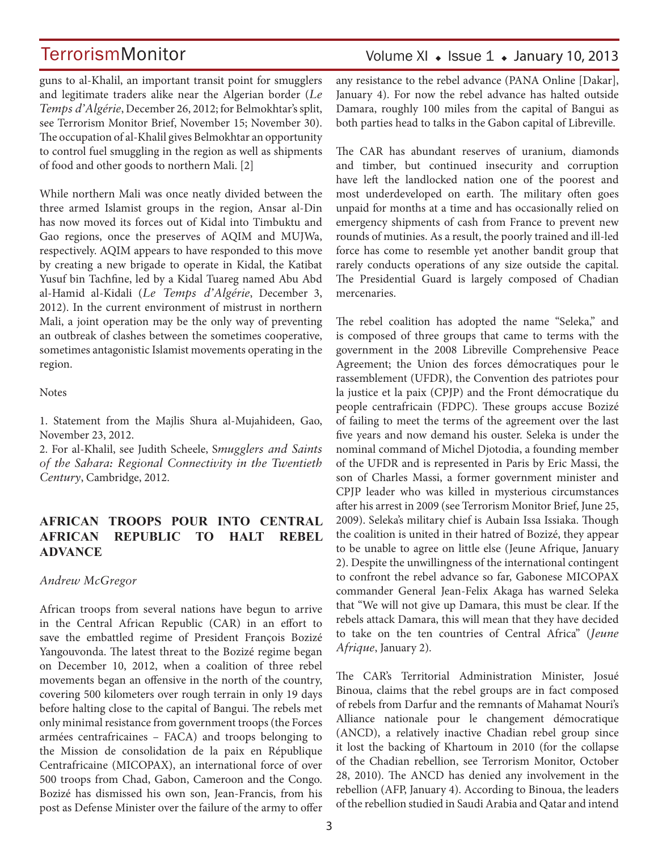guns to al-Khalil, an important transit point for smugglers and legitimate traders alike near the Algerian border (*Le Temps d'Algérie*, December 26, 2012; for Belmokhtar's split, see Terrorism Monitor Brief, November 15; November 30). The occupation of al-Khalil gives Belmokhtar an opportunity to control fuel smuggling in the region as well as shipments of food and other goods to northern Mali. [2]

While northern Mali was once neatly divided between the three armed Islamist groups in the region, Ansar al-Din has now moved its forces out of Kidal into Timbuktu and Gao regions, once the preserves of AQIM and MUJWa, respectively. AQIM appears to have responded to this move by creating a new brigade to operate in Kidal, the Katibat Yusuf bin Tachfine, led by a Kidal Tuareg named Abu Abd al-Hamid al-Kidali (*Le Temps d'Algérie*, December 3, 2012). In the current environment of mistrust in northern Mali, a joint operation may be the only way of preventing an outbreak of clashes between the sometimes cooperative, sometimes antagonistic Islamist movements operating in the region.

**Notes** 

1. Statement from the Majlis Shura al-Mujahideen, Gao, November 23, 2012.

2. For al-Khalil, see Judith Scheele, S*mugglers and Saints of the Sahara: Regional Connectivity in the Twentieth Century*, Cambridge, 2012.

### **AFRICAN TROOPS POUR INTO CENTRAL AFRICAN REPUBLIC TO HALT REBEL ADVANCE**

### *Andrew McGregor*

African troops from several nations have begun to arrive in the Central African Republic (CAR) in an effort to save the embattled regime of President François Bozizé Yangouvonda. The latest threat to the Bozizé regime began on December 10, 2012, when a coalition of three rebel movements began an offensive in the north of the country, covering 500 kilometers over rough terrain in only 19 days before halting close to the capital of Bangui. The rebels met only minimal resistance from government troops (the Forces armées centrafricaines – FACA) and troops belonging to the Mission de consolidation de la paix en République Centrafricaine (MICOPAX), an international force of over 500 troops from Chad, Gabon, Cameroon and the Congo. Bozizé has dismissed his own son, Jean-Francis, from his post as Defense Minister over the failure of the army to offer

### Volume XI  $\bullet$  Issue 1  $\bullet$  January 10, 2013

any resistance to the rebel advance (PANA Online [Dakar], January 4). For now the rebel advance has halted outside Damara, roughly 100 miles from the capital of Bangui as both parties head to talks in the Gabon capital of Libreville.

The CAR has abundant reserves of uranium, diamonds and timber, but continued insecurity and corruption have left the landlocked nation one of the poorest and most underdeveloped on earth. The military often goes unpaid for months at a time and has occasionally relied on emergency shipments of cash from France to prevent new rounds of mutinies. As a result, the poorly trained and ill-led force has come to resemble yet another bandit group that rarely conducts operations of any size outside the capital. The Presidential Guard is largely composed of Chadian mercenaries.

The rebel coalition has adopted the name "Seleka," and is composed of three groups that came to terms with the government in the 2008 Libreville Comprehensive Peace Agreement; the Union des forces démocratiques pour le rassemblement (UFDR), the Convention des patriotes pour la justice et la paix (CPJP) and the Front démocratique du people centrafricain (FDPC). These groups accuse Bozizé of failing to meet the terms of the agreement over the last five years and now demand his ouster. Seleka is under the nominal command of Michel Djotodia, a founding member of the UFDR and is represented in Paris by Eric Massi, the son of Charles Massi, a former government minister and CPJP leader who was killed in mysterious circumstances after his arrest in 2009 (see Terrorism Monitor Brief, June 25, 2009). Seleka's military chief is Aubain Issa Issiaka. Though the coalition is united in their hatred of Bozizé, they appear to be unable to agree on little else (Jeune Afrique, January 2). Despite the unwillingness of the international contingent to confront the rebel advance so far, Gabonese MICOPAX commander General Jean-Felix Akaga has warned Seleka that "We will not give up Damara, this must be clear. If the rebels attack Damara, this will mean that they have decided to take on the ten countries of Central Africa" (*Jeune Afrique*, January 2).

The CAR's Territorial Administration Minister, Josué Binoua, claims that the rebel groups are in fact composed of rebels from Darfur and the remnants of Mahamat Nouri's Alliance nationale pour le changement démocratique (ANCD), a relatively inactive Chadian rebel group since it lost the backing of Khartoum in 2010 (for the collapse of the Chadian rebellion, see Terrorism Monitor, October 28, 2010). The ANCD has denied any involvement in the rebellion (AFP, January 4). According to Binoua, the leaders of the rebellion studied in Saudi Arabia and Qatar and intend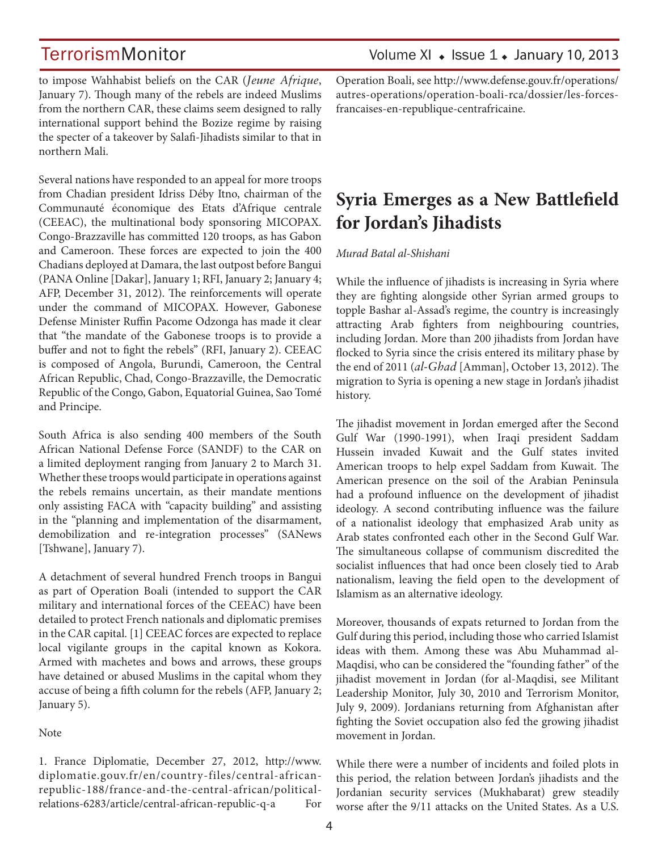to impose Wahhabist beliefs on the CAR (*Jeune Afrique*, January 7). Though many of the rebels are indeed Muslims from the northern CAR, these claims seem designed to rally international support behind the Bozize regime by raising the specter of a takeover by Salafi-Jihadists similar to that in northern Mali.

Several nations have responded to an appeal for more troops from Chadian president Idriss Déby Itno, chairman of the Communauté économique des Etats d'Afrique centrale (CEEAC), the multinational body sponsoring MICOPAX. Congo-Brazzaville has committed 120 troops, as has Gabon and Cameroon. These forces are expected to join the 400 Chadians deployed at Damara, the last outpost before Bangui (PANA Online [Dakar], January 1; RFI, January 2; January 4; AFP, December 31, 2012). The reinforcements will operate under the command of MICOPAX. However, Gabonese Defense Minister Ruffin Pacome Odzonga has made it clear that "the mandate of the Gabonese troops is to provide a buffer and not to fight the rebels" (RFI, January 2). CEEAC is composed of Angola, Burundi, Cameroon, the Central African Republic, Chad, Congo-Brazzaville, the Democratic Republic of the Congo, Gabon, Equatorial Guinea, Sao Tomé and Principe.

South Africa is also sending 400 members of the South African National Defense Force (SANDF) to the CAR on a limited deployment ranging from January 2 to March 31. Whether these troops would participate in operations against the rebels remains uncertain, as their mandate mentions only assisting FACA with "capacity building" and assisting in the "planning and implementation of the disarmament, demobilization and re-integration processes" (SANews [Tshwane], January 7).

A detachment of several hundred French troops in Bangui as part of Operation Boali (intended to support the CAR military and international forces of the CEEAC) have been detailed to protect French nationals and diplomatic premises in the CAR capital. [1] CEEAC forces are expected to replace local vigilante groups in the capital known as Kokora. Armed with machetes and bows and arrows, these groups have detained or abused Muslims in the capital whom they accuse of being a fifth column for the rebels (AFP, January 2; January 5).

### Note

1. France Diplomatie, December 27, 2012, http://www. diplomatie.gouv.fr/en/country-files/central-africanrepublic-188/france-and-the-central-african/politicalrelations-6283/article/central-african-republic-q-a For Operation Boali, see http://www.defense.gouv.fr/operations/ autres-operations/operation-boali-rca/dossier/les-forcesfrancaises-en-republique-centrafricaine.

## **Syria Emerges as a New Battlefield for Jordan's Jihadists**

#### *Murad Batal al-Shishani*

While the influence of jihadists is increasing in Syria where they are fighting alongside other Syrian armed groups to topple Bashar al-Assad's regime, the country is increasingly attracting Arab fighters from neighbouring countries, including Jordan. More than 200 jihadists from Jordan have flocked to Syria since the crisis entered its military phase by the end of 2011 (*al-Ghad* [Amman], October 13, 2012). The migration to Syria is opening a new stage in Jordan's jihadist history.

The jihadist movement in Jordan emerged after the Second Gulf War (1990-1991), when Iraqi president Saddam Hussein invaded Kuwait and the Gulf states invited American troops to help expel Saddam from Kuwait. The American presence on the soil of the Arabian Peninsula had a profound influence on the development of jihadist ideology. A second contributing influence was the failure of a nationalist ideology that emphasized Arab unity as Arab states confronted each other in the Second Gulf War. The simultaneous collapse of communism discredited the socialist influences that had once been closely tied to Arab nationalism, leaving the field open to the development of Islamism as an alternative ideology.

Moreover, thousands of expats returned to Jordan from the Gulf during this period, including those who carried Islamist ideas with them. Among these was Abu Muhammad al-Maqdisi, who can be considered the "founding father" of the jihadist movement in Jordan (for al-Maqdisi, see Militant Leadership Monitor, July 30, 2010 and Terrorism Monitor, July 9, 2009). Jordanians returning from Afghanistan after fighting the Soviet occupation also fed the growing jihadist movement in Jordan.

While there were a number of incidents and foiled plots in this period, the relation between Jordan's jihadists and the Jordanian security services (Mukhabarat) grew steadily worse after the 9/11 attacks on the United States. As a U.S.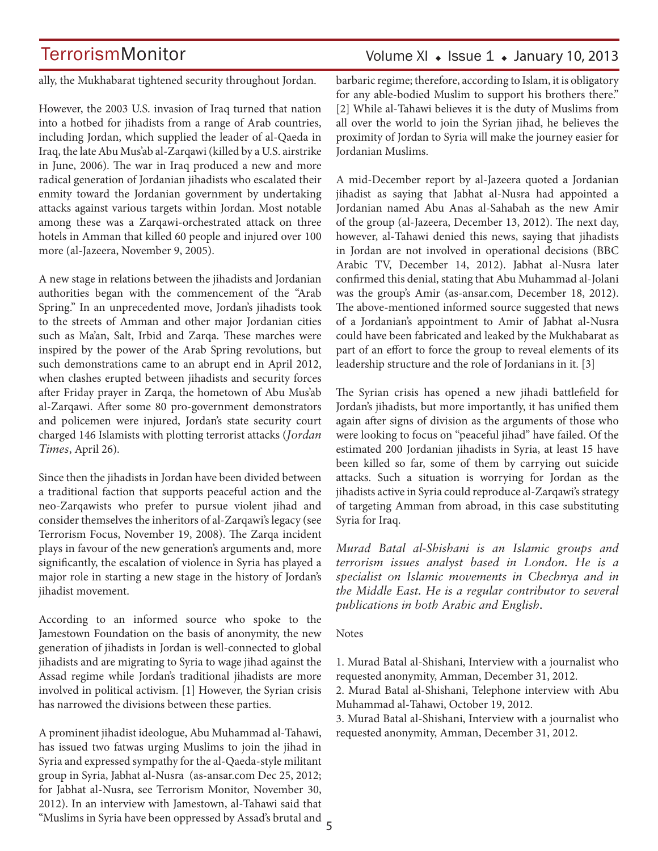### Volume XI  $\bullet$  Issue 1  $\bullet$  January 10, 2013

ally, the Mukhabarat tightened security throughout Jordan.

However, the 2003 U.S. invasion of Iraq turned that nation into a hotbed for jihadists from a range of Arab countries, including Jordan, which supplied the leader of al-Qaeda in Iraq, the late Abu Mus'ab al-Zarqawi (killed by a U.S. airstrike in June, 2006). The war in Iraq produced a new and more radical generation of Jordanian jihadists who escalated their enmity toward the Jordanian government by undertaking attacks against various targets within Jordan. Most notable among these was a Zarqawi-orchestrated attack on three hotels in Amman that killed 60 people and injured over 100 more (al-Jazeera, November 9, 2005).

A new stage in relations between the jihadists and Jordanian authorities began with the commencement of the "Arab Spring." In an unprecedented move, Jordan's jihadists took to the streets of Amman and other major Jordanian cities such as Ma'an, Salt, Irbid and Zarqa. These marches were inspired by the power of the Arab Spring revolutions, but such demonstrations came to an abrupt end in April 2012, when clashes erupted between jihadists and security forces after Friday prayer in Zarqa, the hometown of Abu Mus'ab al-Zarqawi. After some 80 pro-government demonstrators and policemen were injured, Jordan's state security court charged 146 Islamists with plotting terrorist attacks (*Jordan Times*, April 26).

Since then the jihadists in Jordan have been divided between a traditional faction that supports peaceful action and the neo-Zarqawists who prefer to pursue violent jihad and consider themselves the inheritors of al-Zarqawi's legacy (see Terrorism Focus, November 19, 2008). The Zarqa incident plays in favour of the new generation's arguments and, more significantly, the escalation of violence in Syria has played a major role in starting a new stage in the history of Jordan's jihadist movement.

According to an informed source who spoke to the Jamestown Foundation on the basis of anonymity, the new generation of jihadists in Jordan is well-connected to global jihadists and are migrating to Syria to wage jihad against the Assad regime while Jordan's traditional jihadists are more involved in political activism. [1] However, the Syrian crisis has narrowed the divisions between these parties.

5 "Muslims in Syria have been oppressed by Assad's brutal and A prominent jihadist ideologue, Abu Muhammad al-Tahawi, has issued two fatwas urging Muslims to join the jihad in Syria and expressed sympathy for the al-Qaeda-style militant group in Syria, Jabhat al-Nusra (as-ansar.com Dec 25, 2012; for Jabhat al-Nusra, see Terrorism Monitor, November 30, 2012). In an interview with Jamestown, al-Tahawi said that

barbaric regime; therefore, according to Islam, it is obligatory for any able-bodied Muslim to support his brothers there." [2] While al-Tahawi believes it is the duty of Muslims from all over the world to join the Syrian jihad, he believes the proximity of Jordan to Syria will make the journey easier for Jordanian Muslims.

A mid-December report by al-Jazeera quoted a Jordanian jihadist as saying that Jabhat al-Nusra had appointed a Jordanian named Abu Anas al-Sahabah as the new Amir of the group (al-Jazeera, December 13, 2012). The next day, however, al-Tahawi denied this news, saying that jihadists in Jordan are not involved in operational decisions (BBC Arabic TV, December 14, 2012). Jabhat al-Nusra later confirmed this denial, stating that Abu Muhammad al-Jolani was the group's Amir (as-ansar.com, December 18, 2012). The above-mentioned informed source suggested that news of a Jordanian's appointment to Amir of Jabhat al-Nusra could have been fabricated and leaked by the Mukhabarat as part of an effort to force the group to reveal elements of its leadership structure and the role of Jordanians in it. [3]

The Syrian crisis has opened a new jihadi battlefield for Jordan's jihadists, but more importantly, it has unified them again after signs of division as the arguments of those who were looking to focus on "peaceful jihad" have failed. Of the estimated 200 Jordanian jihadists in Syria, at least 15 have been killed so far, some of them by carrying out suicide attacks. Such a situation is worrying for Jordan as the jihadists active in Syria could reproduce al-Zarqawi's strategy of targeting Amman from abroad, in this case substituting Syria for Iraq.

*Murad Batal al-Shishani is an Islamic groups and terrorism issues analyst based in London. He is a specialist on Islamic movements in Chechnya and in the Middle East. He is a regular contributor to several publications in both Arabic and English.*

#### **Notes**

1. Murad Batal al-Shishani, Interview with a journalist who requested anonymity, Amman, December 31, 2012.

2. Murad Batal al-Shishani, Telephone interview with Abu Muhammad al-Tahawi, October 19, 2012.

3. Murad Batal al-Shishani, Interview with a journalist who requested anonymity, Amman, December 31, 2012.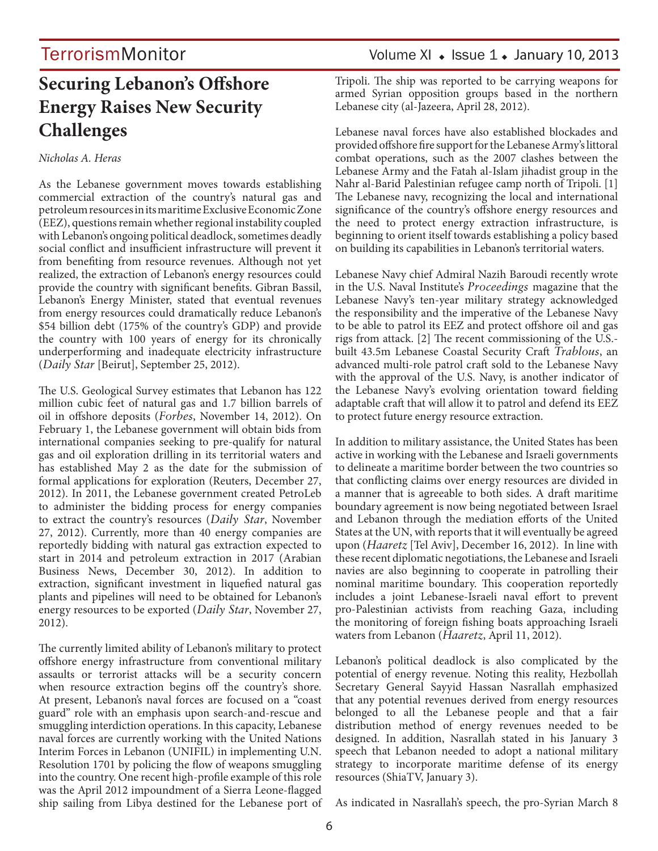## **Securing Lebanon's Offshore Energy Raises New Security Challenges**

### *Nicholas A. Heras*

As the Lebanese government moves towards establishing commercial extraction of the country's natural gas and petroleum resources in its maritime Exclusive Economic Zone (EEZ), questions remain whether regional instability coupled with Lebanon's ongoing political deadlock, sometimes deadly social conflict and insufficient infrastructure will prevent it from benefiting from resource revenues. Although not yet realized, the extraction of Lebanon's energy resources could provide the country with significant benefits. Gibran Bassil, Lebanon's Energy Minister, stated that eventual revenues from energy resources could dramatically reduce Lebanon's \$54 billion debt (175% of the country's GDP) and provide the country with 100 years of energy for its chronically underperforming and inadequate electricity infrastructure (*Daily Star* [Beirut], September 25, 2012).

The U.S. Geological Survey estimates that Lebanon has 122 million cubic feet of natural gas and 1.7 billion barrels of oil in offshore deposits (*Forbes*, November 14, 2012). On February 1, the Lebanese government will obtain bids from international companies seeking to pre-qualify for natural gas and oil exploration drilling in its territorial waters and has established May 2 as the date for the submission of formal applications for exploration (Reuters, December 27, 2012). In 2011, the Lebanese government created PetroLeb to administer the bidding process for energy companies to extract the country's resources (*Daily Star*, November 27, 2012). Currently, more than 40 energy companies are reportedly bidding with natural gas extraction expected to start in 2014 and petroleum extraction in 2017 (Arabian Business News, December 30, 2012). In addition to extraction, significant investment in liquefied natural gas plants and pipelines will need to be obtained for Lebanon's energy resources to be exported (*Daily Star*, November 27, 2012).

The currently limited ability of Lebanon's military to protect offshore energy infrastructure from conventional military assaults or terrorist attacks will be a security concern when resource extraction begins off the country's shore. At present, Lebanon's naval forces are focused on a "coast guard" role with an emphasis upon search-and-rescue and smuggling interdiction operations. In this capacity, Lebanese naval forces are currently working with the United Nations Interim Forces in Lebanon (UNIFIL) in implementing U.N. Resolution 1701 by policing the flow of weapons smuggling into the country. One recent high-profile example of this role was the April 2012 impoundment of a Sierra Leone-flagged ship sailing from Libya destined for the Lebanese port of Tripoli. The ship was reported to be carrying weapons for armed Syrian opposition groups based in the northern Lebanese city (al-Jazeera, April 28, 2012).

Lebanese naval forces have also established blockades and provided offshore fire support for the Lebanese Army's littoral combat operations, such as the 2007 clashes between the Lebanese Army and the Fatah al-Islam jihadist group in the Nahr al-Barid Palestinian refugee camp north of Tripoli. [1] The Lebanese navy, recognizing the local and international significance of the country's offshore energy resources and the need to protect energy extraction infrastructure, is beginning to orient itself towards establishing a policy based on building its capabilities in Lebanon's territorial waters.

Lebanese Navy chief Admiral Nazih Baroudi recently wrote in the U.S. Naval Institute's *Proceedings* magazine that the Lebanese Navy's ten-year military strategy acknowledged the responsibility and the imperative of the Lebanese Navy to be able to patrol its EEZ and protect offshore oil and gas rigs from attack. [2] The recent commissioning of the U.S. built 43.5m Lebanese Coastal Security Craft *Trablous*, an advanced multi-role patrol craft sold to the Lebanese Navy with the approval of the U.S. Navy, is another indicator of the Lebanese Navy's evolving orientation toward fielding adaptable craft that will allow it to patrol and defend its EEZ to protect future energy resource extraction.

In addition to military assistance, the United States has been active in working with the Lebanese and Israeli governments to delineate a maritime border between the two countries so that conflicting claims over energy resources are divided in a manner that is agreeable to both sides. A draft maritime boundary agreement is now being negotiated between Israel and Lebanon through the mediation efforts of the United States at the UN, with reports that it will eventually be agreed upon (*Haaretz* [Tel Aviv], December 16, 2012). In line with these recent diplomatic negotiations, the Lebanese and Israeli navies are also beginning to cooperate in patrolling their nominal maritime boundary. This cooperation reportedly includes a joint Lebanese-Israeli naval effort to prevent pro-Palestinian activists from reaching Gaza, including the monitoring of foreign fishing boats approaching Israeli waters from Lebanon (*Haaretz*, April 11, 2012).

Lebanon's political deadlock is also complicated by the potential of energy revenue. Noting this reality, Hezbollah Secretary General Sayyid Hassan Nasrallah emphasized that any potential revenues derived from energy resources belonged to all the Lebanese people and that a fair distribution method of energy revenues needed to be designed. In addition, Nasrallah stated in his January 3 speech that Lebanon needed to adopt a national military strategy to incorporate maritime defense of its energy resources (ShiaTV, January 3).

As indicated in Nasrallah's speech, the pro-Syrian March 8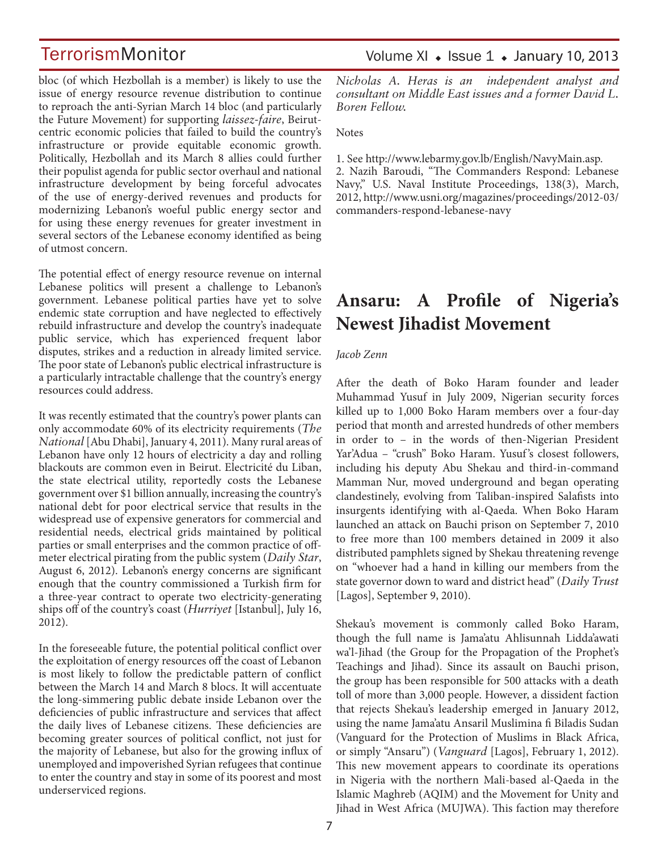bloc (of which Hezbollah is a member) is likely to use the issue of energy resource revenue distribution to continue to reproach the anti-Syrian March 14 bloc (and particularly the Future Movement) for supporting *laissez-faire*, Beirutcentric economic policies that failed to build the country's infrastructure or provide equitable economic growth. Politically, Hezbollah and its March 8 allies could further their populist agenda for public sector overhaul and national infrastructure development by being forceful advocates of the use of energy-derived revenues and products for modernizing Lebanon's woeful public energy sector and for using these energy revenues for greater investment in several sectors of the Lebanese economy identified as being of utmost concern.

The potential effect of energy resource revenue on internal Lebanese politics will present a challenge to Lebanon's government. Lebanese political parties have yet to solve endemic state corruption and have neglected to effectively rebuild infrastructure and develop the country's inadequate public service, which has experienced frequent labor disputes, strikes and a reduction in already limited service. The poor state of Lebanon's public electrical infrastructure is a particularly intractable challenge that the country's energy resources could address.

It was recently estimated that the country's power plants can only accommodate 60% of its electricity requirements (*The National* [Abu Dhabi], January 4, 2011). Many rural areas of Lebanon have only 12 hours of electricity a day and rolling blackouts are common even in Beirut. Electricité du Liban, the state electrical utility, reportedly costs the Lebanese government over \$1 billion annually, increasing the country's national debt for poor electrical service that results in the widespread use of expensive generators for commercial and residential needs, electrical grids maintained by political parties or small enterprises and the common practice of offmeter electrical pirating from the public system (*Daily Star*, August 6, 2012). Lebanon's energy concerns are significant enough that the country commissioned a Turkish firm for a three-year contract to operate two electricity-generating ships off of the country's coast (*Hurriyet* [Istanbul], July 16, 2012).

In the foreseeable future, the potential political conflict over the exploitation of energy resources off the coast of Lebanon is most likely to follow the predictable pattern of conflict between the March 14 and March 8 blocs. It will accentuate the long-simmering public debate inside Lebanon over the deficiencies of public infrastructure and services that affect the daily lives of Lebanese citizens. These deficiencies are becoming greater sources of political conflict, not just for the majority of Lebanese, but also for the growing influx of unemployed and impoverished Syrian refugees that continue to enter the country and stay in some of its poorest and most underserviced regions.

*Nicholas A. Heras is an independent analyst and consultant on Middle East issues and a former David L. Boren Fellow.* 

Notes

1. See http://www.lebarmy.gov.lb/English/NavyMain.asp. 2. Nazih Baroudi, "The Commanders Respond: Lebanese Navy," U.S. Naval Institute Proceedings, 138(3), March, 2012, http://www.usni.org/magazines/proceedings/2012-03/ commanders-respond-lebanese-navy

### **Ansaru: A Profile of Nigeria's Newest Jihadist Movement**

### *Jacob Zenn*

After the death of Boko Haram founder and leader Muhammad Yusuf in July 2009, Nigerian security forces killed up to 1,000 Boko Haram members over a four-day period that month and arrested hundreds of other members in order to – in the words of then-Nigerian President Yar'Adua – "crush" Boko Haram. Yusuf 's closest followers, including his deputy Abu Shekau and third-in-command Mamman Nur, moved underground and began operating clandestinely, evolving from Taliban-inspired Salafists into insurgents identifying with al-Qaeda. When Boko Haram launched an attack on Bauchi prison on September 7, 2010 to free more than 100 members detained in 2009 it also distributed pamphlets signed by Shekau threatening revenge on "whoever had a hand in killing our members from the state governor down to ward and district head" (*Daily Trust*  [Lagos], September 9, 2010).

Shekau's movement is commonly called Boko Haram, though the full name is Jama'atu Ahlisunnah Lidda'awati wa'l-Jihad (the Group for the Propagation of the Prophet's Teachings and Jihad). Since its assault on Bauchi prison, the group has been responsible for 500 attacks with a death toll of more than 3,000 people. However, a dissident faction that rejects Shekau's leadership emerged in January 2012, using the name Jama'atu Ansaril Muslimina fi Biladis Sudan (Vanguard for the Protection of Muslims in Black Africa, or simply "Ansaru") (*Vanguard* [Lagos], February 1, 2012). This new movement appears to coordinate its operations in Nigeria with the northern Mali-based al-Qaeda in the Islamic Maghreb (AQIM) and the Movement for Unity and Jihad in West Africa (MUJWA). This faction may therefore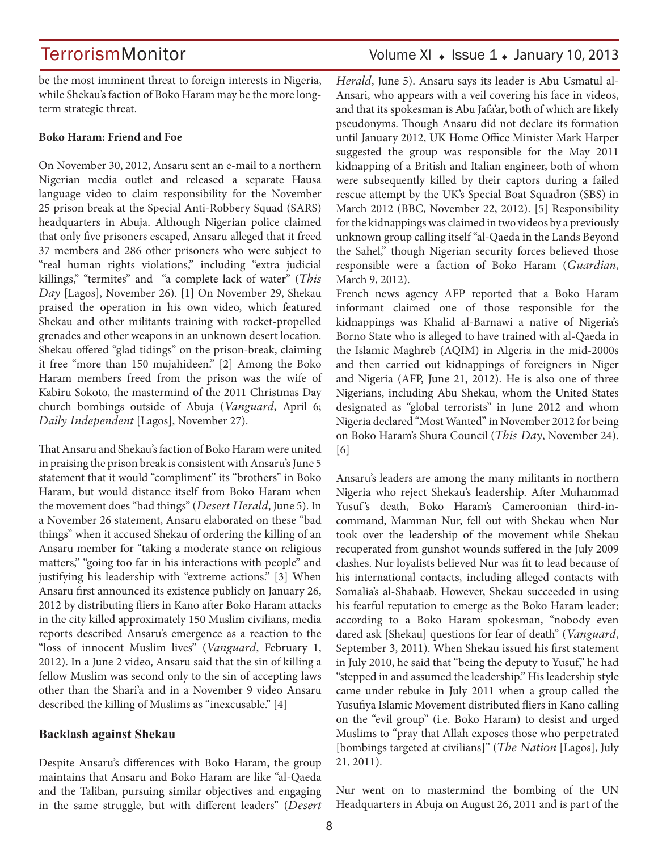be the most imminent threat to foreign interests in Nigeria, while Shekau's faction of Boko Haram may be the more longterm strategic threat.

#### **Boko Haram: Friend and Foe**

On November 30, 2012, Ansaru sent an e-mail to a northern Nigerian media outlet and released a separate Hausa language video to claim responsibility for the November 25 prison break at the Special Anti-Robbery Squad (SARS) headquarters in Abuja. Although Nigerian police claimed that only five prisoners escaped, Ansaru alleged that it freed 37 members and 286 other prisoners who were subject to "real human rights violations," including "extra judicial killings," "termites" and "a complete lack of water" (*This Day* [Lagos], November 26). [1] On November 29, Shekau praised the operation in his own video, which featured Shekau and other militants training with rocket-propelled grenades and other weapons in an unknown desert location. Shekau offered "glad tidings" on the prison-break, claiming it free "more than 150 mujahideen." [2] Among the Boko Haram members freed from the prison was the wife of Kabiru Sokoto, the mastermind of the 2011 Christmas Day church bombings outside of Abuja (*Vanguard*, April 6; *Daily Independent* [Lagos], November 27).

That Ansaru and Shekau's faction of Boko Haram were united in praising the prison break is consistent with Ansaru's June 5 statement that it would "compliment" its "brothers" in Boko Haram, but would distance itself from Boko Haram when the movement does "bad things" (*Desert Herald*, June 5). In a November 26 statement, Ansaru elaborated on these "bad things" when it accused Shekau of ordering the killing of an Ansaru member for "taking a moderate stance on religious matters," "going too far in his interactions with people" and justifying his leadership with "extreme actions." [3] When Ansaru first announced its existence publicly on January 26, 2012 by distributing fliers in Kano after Boko Haram attacks in the city killed approximately 150 Muslim civilians, media reports described Ansaru's emergence as a reaction to the "loss of innocent Muslim lives" (*Vanguard*, February 1, 2012). In a June 2 video, Ansaru said that the sin of killing a fellow Muslim was second only to the sin of accepting laws other than the Shari'a and in a November 9 video Ansaru described the killing of Muslims as "inexcusable." [4]

#### **Backlash against Shekau**

Despite Ansaru's differences with Boko Haram, the group maintains that Ansaru and Boko Haram are like "al-Qaeda and the Taliban, pursuing similar objectives and engaging in the same struggle, but with different leaders" (*Desert* 

### TerrorismMonitor Volume XI • Issue 1 • January 10, 2013

*Herald*, June 5). Ansaru says its leader is Abu Usmatul al-Ansari, who appears with a veil covering his face in videos, and that its spokesman is Abu Jafa'ar, both of which are likely pseudonyms. Though Ansaru did not declare its formation until January 2012, UK Home Office Minister Mark Harper suggested the group was responsible for the May 2011 kidnapping of a British and Italian engineer, both of whom were subsequently killed by their captors during a failed rescue attempt by the UK's Special Boat Squadron (SBS) in March 2012 (BBC, November 22, 2012). [5] Responsibility for the kidnappings was claimed in two videos by a previously unknown group calling itself "al-Qaeda in the Lands Beyond the Sahel," though Nigerian security forces believed those responsible were a faction of Boko Haram (*Guardian*, March 9, 2012).

French news agency AFP reported that a Boko Haram informant claimed one of those responsible for the kidnappings was Khalid al-Barnawi a native of Nigeria's Borno State who is alleged to have trained with al-Qaeda in the Islamic Maghreb (AQIM) in Algeria in the mid-2000s and then carried out kidnappings of foreigners in Niger and Nigeria (AFP, June 21, 2012). He is also one of three Nigerians, including Abu Shekau, whom the United States designated as "global terrorists" in June 2012 and whom Nigeria declared "Most Wanted" in November 2012 for being on Boko Haram's Shura Council (*This Day*, November 24). [6]

Ansaru's leaders are among the many militants in northern Nigeria who reject Shekau's leadership. After Muhammad Yusuf's death, Boko Haram's Cameroonian third-incommand, Mamman Nur, fell out with Shekau when Nur took over the leadership of the movement while Shekau recuperated from gunshot wounds suffered in the July 2009 clashes. Nur loyalists believed Nur was fit to lead because of his international contacts, including alleged contacts with Somalia's al-Shabaab. However, Shekau succeeded in using his fearful reputation to emerge as the Boko Haram leader; according to a Boko Haram spokesman, "nobody even dared ask [Shekau] questions for fear of death" (*Vanguard*, September 3, 2011). When Shekau issued his first statement in July 2010, he said that "being the deputy to Yusuf," he had "stepped in and assumed the leadership." His leadership style came under rebuke in July 2011 when a group called the Yusufiya Islamic Movement distributed fliers in Kano calling on the "evil group" (i.e. Boko Haram) to desist and urged Muslims to "pray that Allah exposes those who perpetrated [bombings targeted at civilians]" (*The Nation* [Lagos], July 21, 2011).

Nur went on to mastermind the bombing of the UN Headquarters in Abuja on August 26, 2011 and is part of the